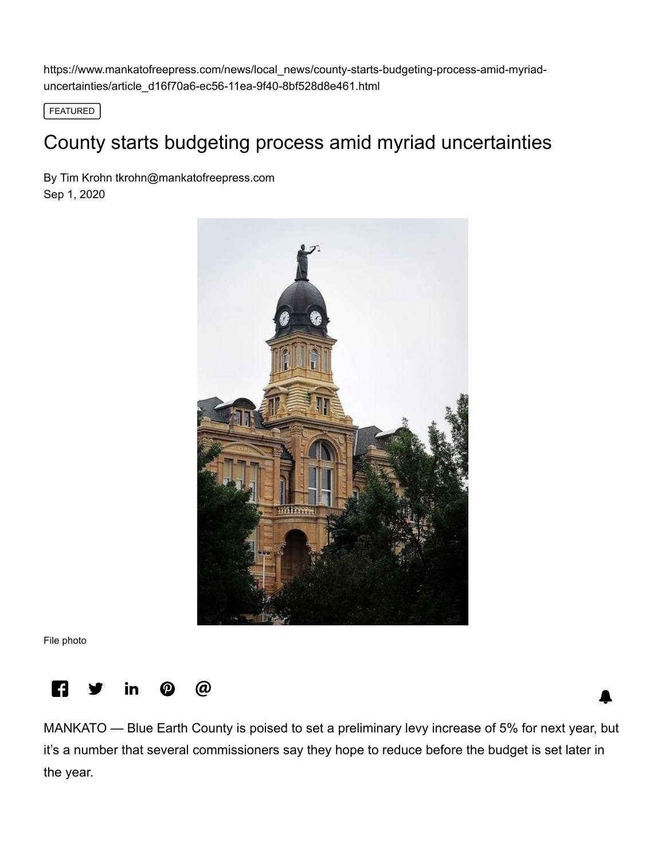https://www.mankatofreepress.com/news/local\_news/county-starts-budgeting-process-amid-myriaduncertainties/article\_d16f70a6-ec56-11ea-9f40-8bf528d8e461.html

FEATURED

## County starts budgeting process amid myriad uncertainties

By Tim Krohn [tkrohn@mankatofreepress.com](https://www.mankatofreepress.com/users/profile/Tim%20Krohn) Sep 1, 2020



File photo



MANKATO — Blue Earth County is poised to set a preliminary levy increase of 5% for next year, but it's a number that several commissioners say they hope to reduce before the budget is set later in the year.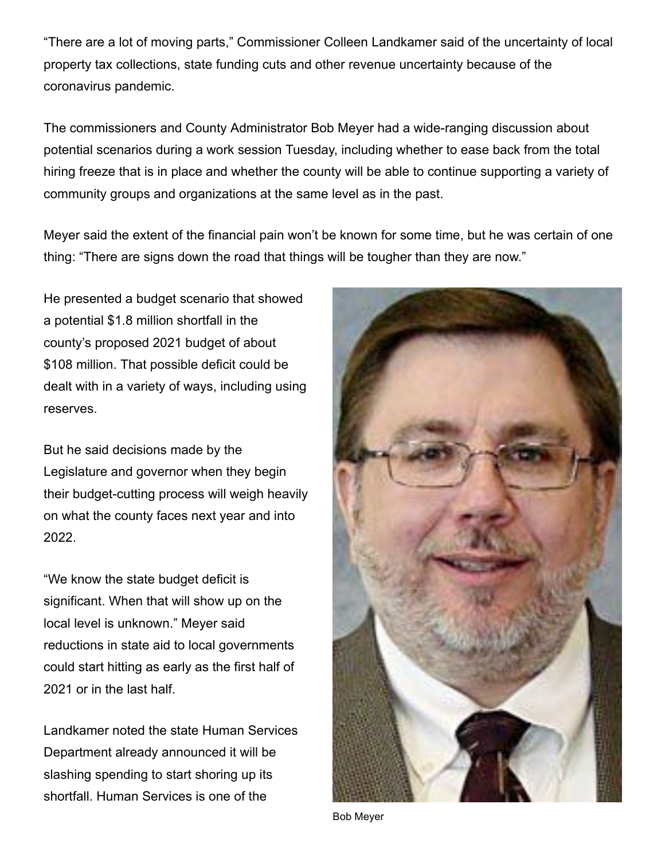"There are a lot of moving parts," Commissioner Colleen Landkamer said of the uncertainty of local property tax collections, state funding cuts and other revenue uncertainty because of the coronavirus pandemic.

The commissioners and County Administrator Bob Meyer had a wide-ranging discussion about potential scenarios during a work session Tuesday, including whether to ease back from the total hiring freeze that is in place and whether the county will be able to continue supporting a variety of community groups and organizations at the same level as in the past.

Meyer said the extent of the financial pain won't be known for some time, but he was certain of one thing: "There are signs down the road that things will be tougher than they are now."

He presented a budget scenario that showed a potential \$1.8 million shortfall in the county's proposed 2021 budget of about \$108 million. That possible deficit could be dealt with in a variety of ways, including using reserves.

But he said decisions made by the Legislature and governor when they begin their budget-cutting process will weigh heavily on what the county faces next year and into 2022.

"We know the state budget deficit is significant. When that will show up on the local level is unknown." Meyer said reductions in state aid to local governments could start hitting as early as the first half of 2021 or in the last half.

Landkamer noted the state Human Services Department already announced it will be slashing spending to start shoring up its shortfall. Human Services is one of the



Bob Meyer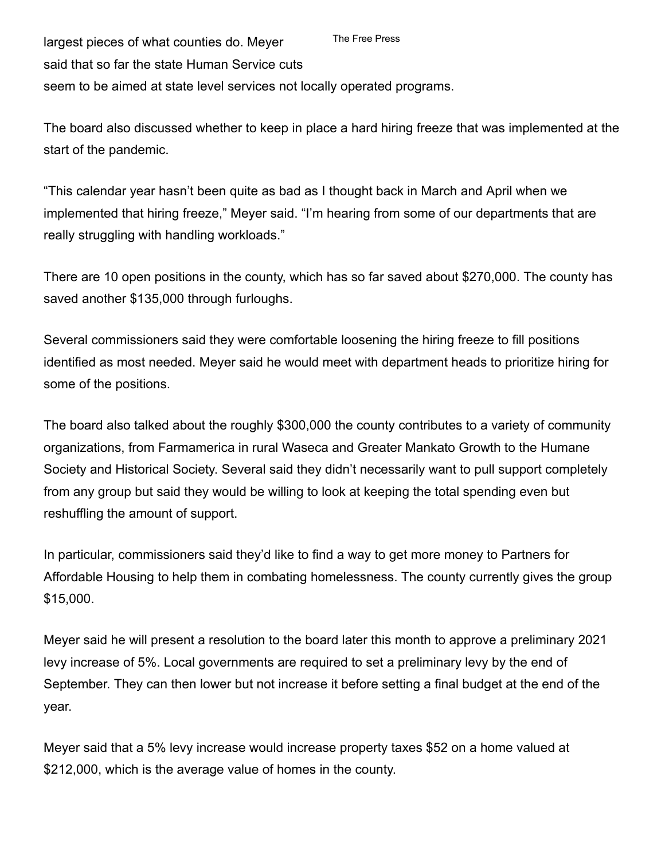largest pieces of what counties do. Meyer said that so far the state Human Service cuts seem to be aimed at state level services not locally operated programs. The Free Press

The board also discussed whether to keep in place a hard hiring freeze that was implemented at the start of the pandemic.

"This calendar year hasn't been quite as bad as I thought back in March and April when we implemented that hiring freeze," Meyer said. "I'm hearing from some of our departments that are really struggling with handling workloads."

There are 10 open positions in the county, which has so far saved about \$270,000. The county has saved another \$135,000 through furloughs.

Several commissioners said they were comfortable loosening the hiring freeze to fill positions identified as most needed. Meyer said he would meet with department heads to prioritize hiring for some of the positions.

The board also talked about the roughly \$300,000 the county contributes to a variety of community organizations, from Farmamerica in rural Waseca and Greater Mankato Growth to the Humane Society and Historical Society. Several said they didn't necessarily want to pull support completely from any group but said they would be willing to look at keeping the total spending even but reshuffling the amount of support.

In particular, commissioners said they'd like to find a way to get more money to Partners for Affordable Housing to help them in combating homelessness. The county currently gives the group \$15,000.

Meyer said he will present a resolution to the board later this month to approve a preliminary 2021 levy increase of 5%. Local governments are required to set a preliminary levy by the end of September. They can then lower but not increase it before setting a final budget at the end of the year.

Meyer said that a 5% levy increase would increase property taxes \$52 on a home valued at \$212,000, which is the average value of homes in the county.